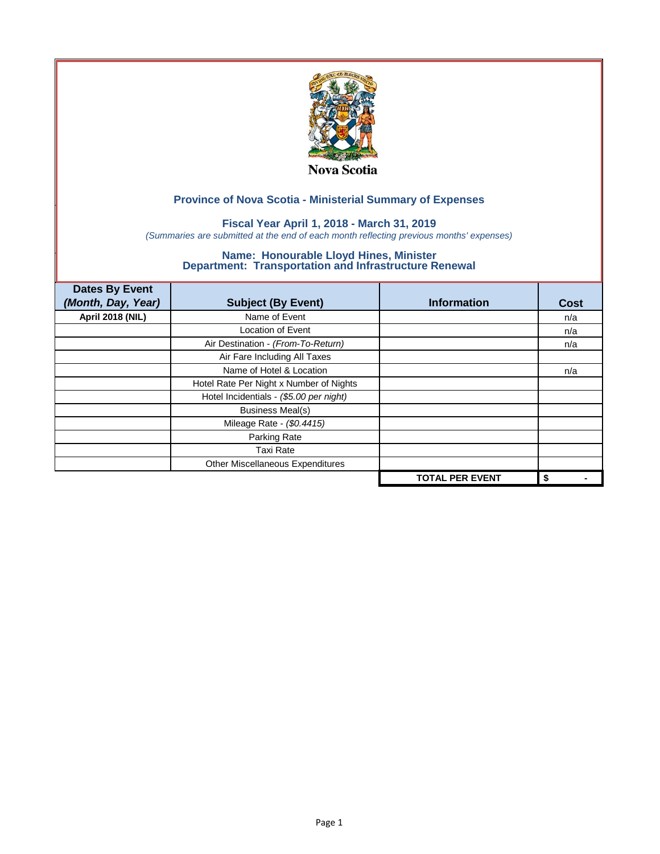

## **Fiscal Year April 1, 2018 - March 31, 2019**

*(Summaries are submitted at the end of each month reflecting previous months' expenses)*

| <b>Dates By Event</b>   |                                         |                        |      |
|-------------------------|-----------------------------------------|------------------------|------|
| (Month, Day, Year)      | <b>Subject (By Event)</b>               | <b>Information</b>     | Cost |
| <b>April 2018 (NIL)</b> | Name of Event                           |                        | n/a  |
|                         | <b>Location of Event</b>                |                        | n/a  |
|                         | Air Destination - (From-To-Return)      |                        | n/a  |
|                         | Air Fare Including All Taxes            |                        |      |
|                         | Name of Hotel & Location                |                        | n/a  |
|                         | Hotel Rate Per Night x Number of Nights |                        |      |
|                         | Hotel Incidentials - (\$5.00 per night) |                        |      |
|                         | <b>Business Meal(s)</b>                 |                        |      |
|                         | Mileage Rate - (\$0.4415)               |                        |      |
|                         | Parking Rate                            |                        |      |
|                         | Taxi Rate                               |                        |      |
|                         | Other Miscellaneous Expenditures        |                        |      |
|                         |                                         | <b>TOTAL PER EVENT</b> | \$   |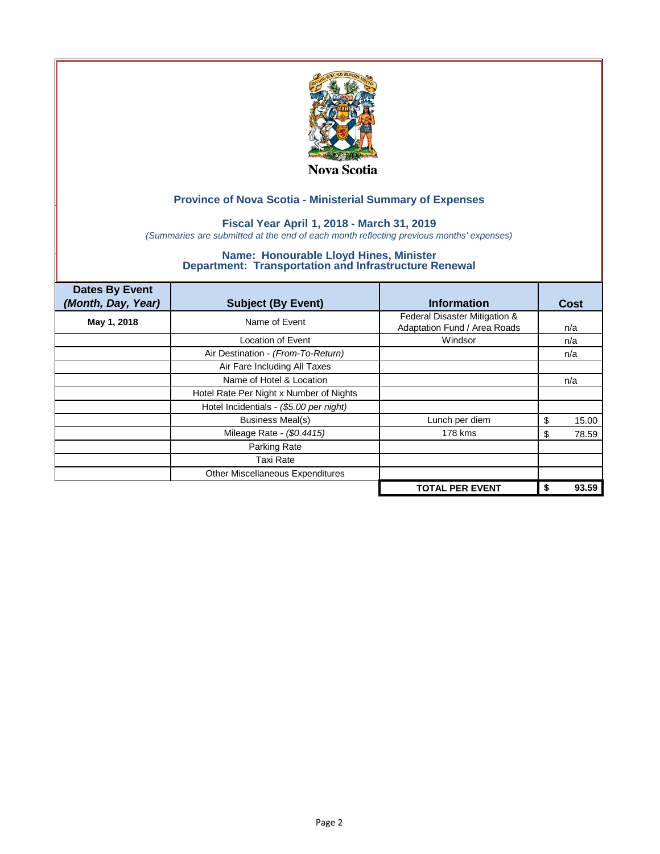

## **Fiscal Year April 1, 2018 - March 31, 2019**

*(Summaries are submitted at the end of each month reflecting previous months' expenses)*

| <b>Dates By Event</b><br>(Month, Day, Year) | <b>Subject (By Event)</b>               | <b>Information</b>                                            | Cost        |
|---------------------------------------------|-----------------------------------------|---------------------------------------------------------------|-------------|
| May 1, 2018                                 | Name of Event                           | Federal Disaster Mitigation &<br>Adaptation Fund / Area Roads | n/a         |
|                                             | Location of Event                       | Windsor                                                       | n/a         |
|                                             | Air Destination - (From-To-Return)      |                                                               | n/a         |
|                                             | Air Fare Including All Taxes            |                                                               |             |
|                                             | Name of Hotel & Location                |                                                               | n/a         |
|                                             | Hotel Rate Per Night x Number of Nights |                                                               |             |
|                                             | Hotel Incidentials - (\$5.00 per night) |                                                               |             |
|                                             | Business Meal(s)                        | Lunch per diem                                                | 15.00<br>\$ |
|                                             | Mileage Rate - (\$0.4415)               | 178 kms                                                       | 78.59<br>S  |
|                                             | Parking Rate                            |                                                               |             |
|                                             | <b>Taxi Rate</b>                        |                                                               |             |
|                                             | Other Miscellaneous Expenditures        |                                                               |             |
|                                             |                                         | <b>TOTAL PER EVENT</b>                                        | 93.59       |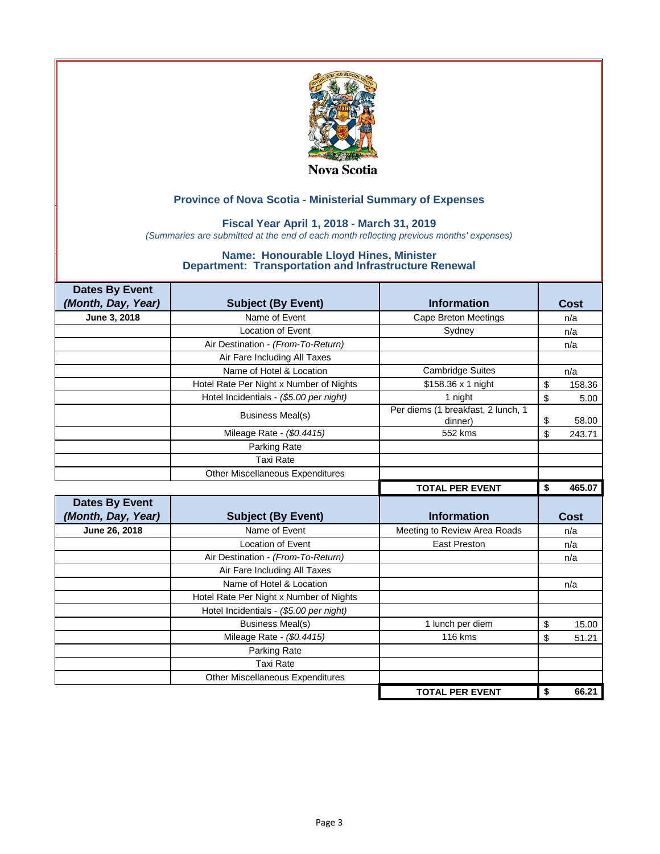

### **Fiscal Year April 1, 2018 - March 31, 2019**

*(Summaries are submitted at the end of each month reflecting previous months' expenses)*

| <b>Dates By Event</b> |                                         |                                               |              |
|-----------------------|-----------------------------------------|-----------------------------------------------|--------------|
| (Month, Day, Year)    | <b>Subject (By Event)</b>               | <b>Information</b>                            | Cost         |
| June 3, 2018          | Name of Event                           | <b>Cape Breton Meetings</b>                   | n/a          |
|                       | Location of Event                       | Sydney                                        | n/a          |
|                       | Air Destination - (From-To-Return)      |                                               | n/a          |
|                       | Air Fare Including All Taxes            |                                               |              |
|                       | Name of Hotel & Location                | <b>Cambridge Suites</b>                       | n/a          |
|                       | Hotel Rate Per Night x Number of Nights | \$158.36 x 1 night                            | \$<br>158.36 |
|                       | Hotel Incidentials - (\$5.00 per night) | 1 night                                       | \$<br>5.00   |
|                       | <b>Business Meal(s)</b>                 | Per diems (1 breakfast, 2 lunch, 1<br>dinner) | \$<br>58.00  |
|                       | Mileage Rate - (\$0.4415)               | 552 kms                                       | \$<br>243.71 |
|                       | Parking Rate                            |                                               |              |
|                       | <b>Taxi Rate</b>                        |                                               |              |
|                       | <b>Other Miscellaneous Expenditures</b> |                                               |              |
|                       |                                         |                                               | \$<br>465.07 |
|                       |                                         | <b>TOTAL PER EVENT</b>                        |              |
| <b>Dates By Event</b> |                                         |                                               |              |
| (Month, Day, Year)    | <b>Subject (By Event)</b>               | <b>Information</b>                            | <b>Cost</b>  |
| June 26, 2018         | Name of Event                           | Meeting to Review Area Roads                  | n/a          |
|                       | <b>Location of Event</b>                | <b>East Preston</b>                           | n/a          |
|                       | Air Destination - (From-To-Return)      |                                               | n/a          |
|                       | Air Fare Including All Taxes            |                                               |              |
|                       | Name of Hotel & Location                |                                               | n/a          |
|                       | Hotel Rate Per Night x Number of Nights |                                               |              |
|                       | Hotel Incidentials - (\$5.00 per night) |                                               |              |
|                       | <b>Business Meal(s)</b>                 | 1 lunch per diem                              | \$<br>15.00  |
|                       | Mileage Rate - (\$0.4415)               | <b>116 kms</b>                                | \$<br>51.21  |
|                       | Parking Rate                            |                                               |              |
|                       | <b>Taxi Rate</b>                        |                                               |              |
|                       | <b>Other Miscellaneous Expenditures</b> |                                               |              |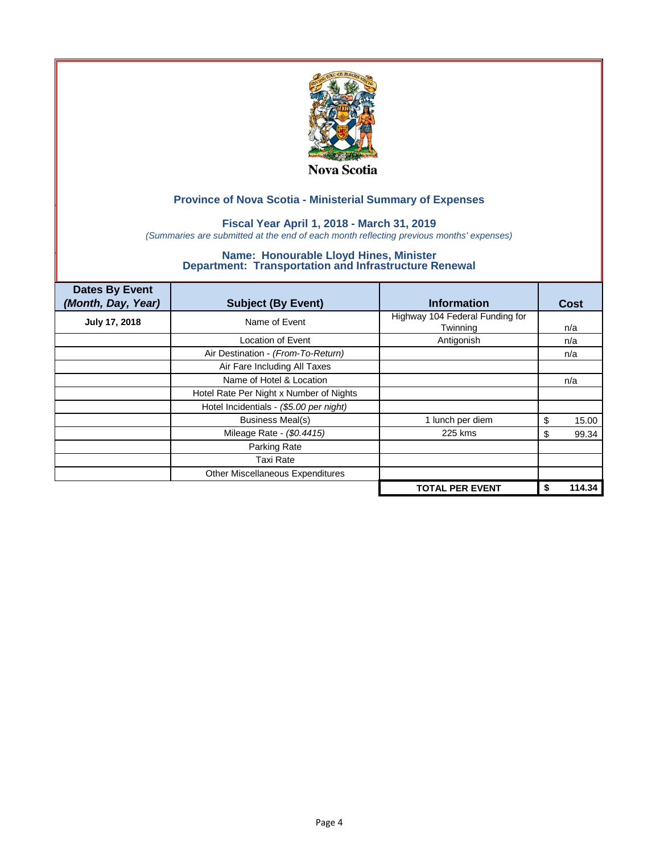

## **Fiscal Year April 1, 2018 - March 31, 2019**

*(Summaries are submitted at the end of each month reflecting previous months' expenses)*

| <b>Dates By Event</b><br>(Month, Day, Year) | <b>Subject (By Event)</b>               | <b>Information</b>                          | Cost         |
|---------------------------------------------|-----------------------------------------|---------------------------------------------|--------------|
| July 17, 2018                               | Name of Event                           | Highway 104 Federal Funding for<br>Twinning | n/a          |
|                                             | <b>Location of Event</b>                | Antigonish                                  | n/a          |
|                                             | Air Destination - (From-To-Return)      |                                             | n/a          |
|                                             | Air Fare Including All Taxes            |                                             |              |
|                                             | Name of Hotel & Location                |                                             | n/a          |
|                                             | Hotel Rate Per Night x Number of Nights |                                             |              |
|                                             | Hotel Incidentials - (\$5.00 per night) |                                             |              |
|                                             | <b>Business Meal(s)</b>                 | 1 lunch per diem                            | 15.00<br>\$  |
|                                             | Mileage Rate - (\$0.4415)               | 225 kms                                     | 99.34<br>J.  |
|                                             | Parking Rate                            |                                             |              |
|                                             | Taxi Rate                               |                                             |              |
|                                             | Other Miscellaneous Expenditures        |                                             |              |
|                                             |                                         | <b>TOTAL PER EVENT</b>                      | 114.34<br>\$ |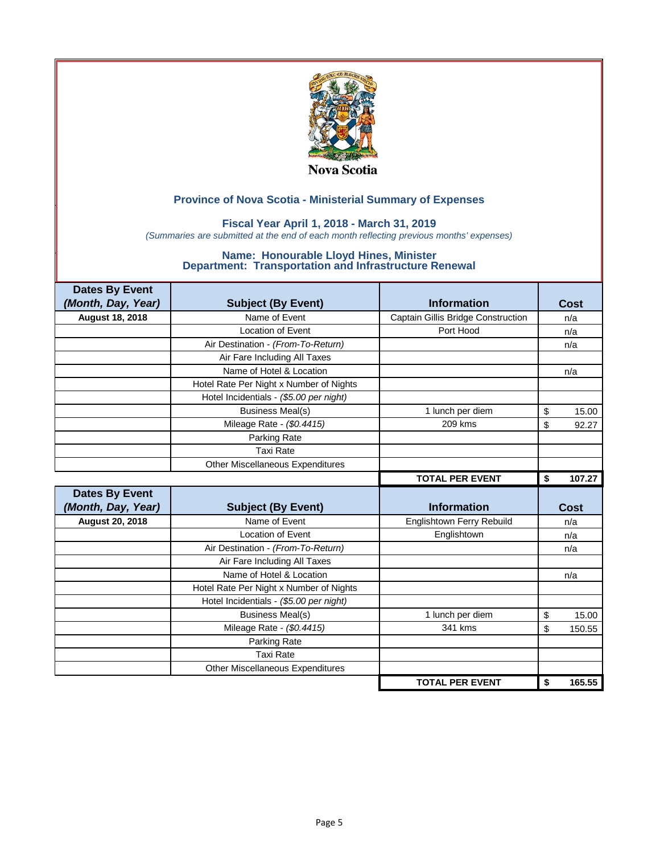

### **Fiscal Year April 1, 2018 - March 31, 2019**

*(Summaries are submitted at the end of each month reflecting previous months' expenses)*

| <b>Dates By Event</b>  |                                         |                                    |              |
|------------------------|-----------------------------------------|------------------------------------|--------------|
| (Month, Day, Year)     | <b>Subject (By Event)</b>               | <b>Information</b>                 | Cost         |
| <b>August 18, 2018</b> | Name of Event                           | Captain Gillis Bridge Construction | n/a          |
|                        | Location of Event                       | Port Hood                          | n/a          |
|                        | Air Destination - (From-To-Return)      |                                    | n/a          |
|                        | Air Fare Including All Taxes            |                                    |              |
|                        | Name of Hotel & Location                |                                    | n/a          |
|                        | Hotel Rate Per Night x Number of Nights |                                    |              |
|                        | Hotel Incidentials - (\$5.00 per night) |                                    |              |
|                        | <b>Business Meal(s)</b>                 | 1 lunch per diem                   | \$<br>15.00  |
|                        | Mileage Rate - (\$0.4415)               | 209 kms                            | \$<br>92.27  |
|                        | Parking Rate                            |                                    |              |
|                        | <b>Taxi Rate</b>                        |                                    |              |
|                        | Other Miscellaneous Expenditures        |                                    |              |
|                        |                                         | <b>TOTAL PER EVENT</b>             | \$<br>107.27 |
|                        |                                         |                                    |              |
| <b>Dates By Event</b>  |                                         |                                    |              |
| (Month, Day, Year)     | <b>Subject (By Event)</b>               | <b>Information</b>                 | Cost         |
| <b>August 20, 2018</b> | Name of Event                           | Englishtown Ferry Rebuild          | n/a          |
|                        | Location of Event                       | Englishtown                        | n/a          |
|                        | Air Destination - (From-To-Return)      |                                    | n/a          |
|                        | Air Fare Including All Taxes            |                                    |              |
|                        | Name of Hotel & Location                |                                    | n/a          |
|                        | Hotel Rate Per Night x Number of Nights |                                    |              |
|                        | Hotel Incidentials - (\$5.00 per night) |                                    |              |
|                        | <b>Business Meal(s)</b>                 | 1 lunch per diem                   | \$<br>15.00  |
|                        | Mileage Rate - (\$0.4415)               | 341 kms                            | \$<br>150.55 |
|                        | Parking Rate                            |                                    |              |
|                        | <b>Taxi Rate</b>                        |                                    |              |
|                        | Other Miscellaneous Expenditures        |                                    |              |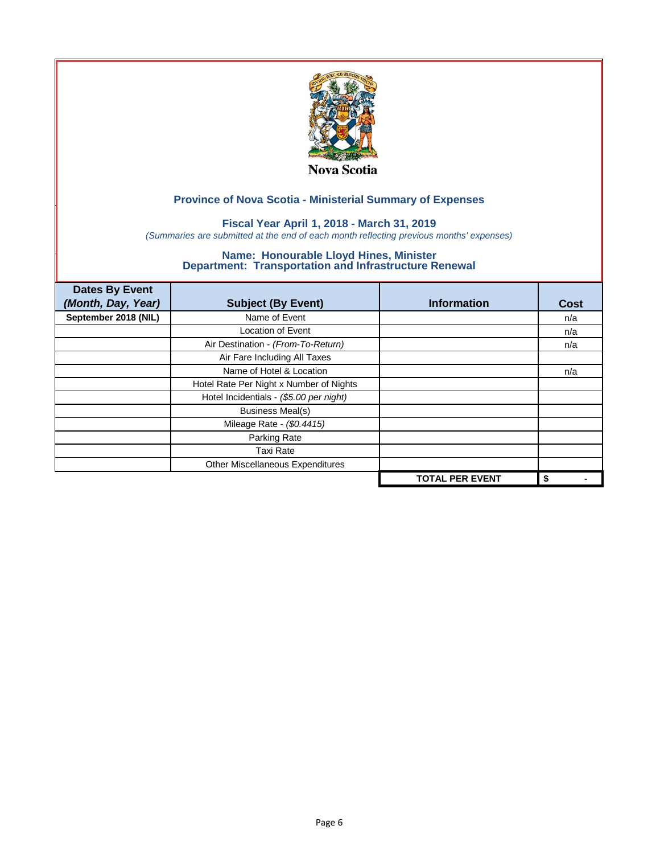

## **Fiscal Year April 1, 2018 - March 31, 2019**

*(Summaries are submitted at the end of each month reflecting previous months' expenses)*

| <b>Dates By Event</b><br>(Month, Day, Year) | <b>Subject (By Event)</b>               | <b>Information</b>     | <b>Cost</b> |
|---------------------------------------------|-----------------------------------------|------------------------|-------------|
| September 2018 (NIL)                        | Name of Event                           |                        | n/a         |
|                                             | <b>Location of Event</b>                |                        | n/a         |
|                                             | Air Destination - (From-To-Return)      |                        | n/a         |
|                                             | Air Fare Including All Taxes            |                        |             |
|                                             | Name of Hotel & Location                |                        | n/a         |
|                                             | Hotel Rate Per Night x Number of Nights |                        |             |
|                                             | Hotel Incidentials - (\$5.00 per night) |                        |             |
|                                             | <b>Business Meal(s)</b>                 |                        |             |
|                                             | Mileage Rate - (\$0.4415)               |                        |             |
|                                             | Parking Rate                            |                        |             |
|                                             | Taxi Rate                               |                        |             |
|                                             | Other Miscellaneous Expenditures        |                        |             |
|                                             |                                         | <b>TOTAL PER EVENT</b> | \$          |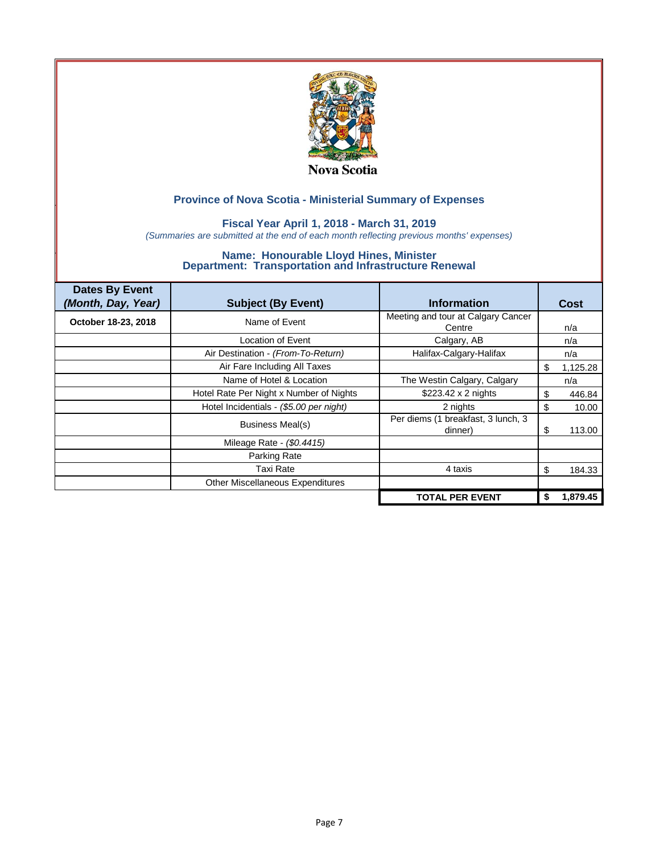

### **Fiscal Year April 1, 2018 - March 31, 2019**

*(Summaries are submitted at the end of each month reflecting previous months' expenses)*

| <b>Dates By Event</b><br>(Month, Day, Year) | <b>Subject (By Event)</b>               | <b>Information</b>                            | <b>Cost</b>    |
|---------------------------------------------|-----------------------------------------|-----------------------------------------------|----------------|
| October 18-23, 2018                         | Name of Event                           | Meeting and tour at Calgary Cancer<br>Centre  | n/a            |
|                                             | Location of Event                       | Calgary, AB                                   | n/a            |
|                                             | Air Destination - (From-To-Return)      | Halifax-Calgary-Halifax                       | n/a            |
|                                             | Air Fare Including All Taxes            |                                               | 1,125.28<br>\$ |
|                                             | Name of Hotel & Location                | The Westin Calgary, Calgary                   | n/a            |
|                                             | Hotel Rate Per Night x Number of Nights | \$223.42 x 2 nights                           | 446.84<br>\$   |
|                                             | Hotel Incidentials - (\$5.00 per night) | 2 nights                                      | 10.00<br>\$    |
|                                             | <b>Business Meal(s)</b>                 | Per diems (1 breakfast, 3 lunch, 3<br>dinner) | 113.00<br>S    |
|                                             | Mileage Rate - (\$0.4415)               |                                               |                |
|                                             | Parking Rate                            |                                               |                |
|                                             | Taxi Rate                               | 4 taxis                                       | \$<br>184.33   |
|                                             | Other Miscellaneous Expenditures        |                                               |                |
|                                             |                                         | <b>TOTAL PER EVENT</b>                        | 1,879.45       |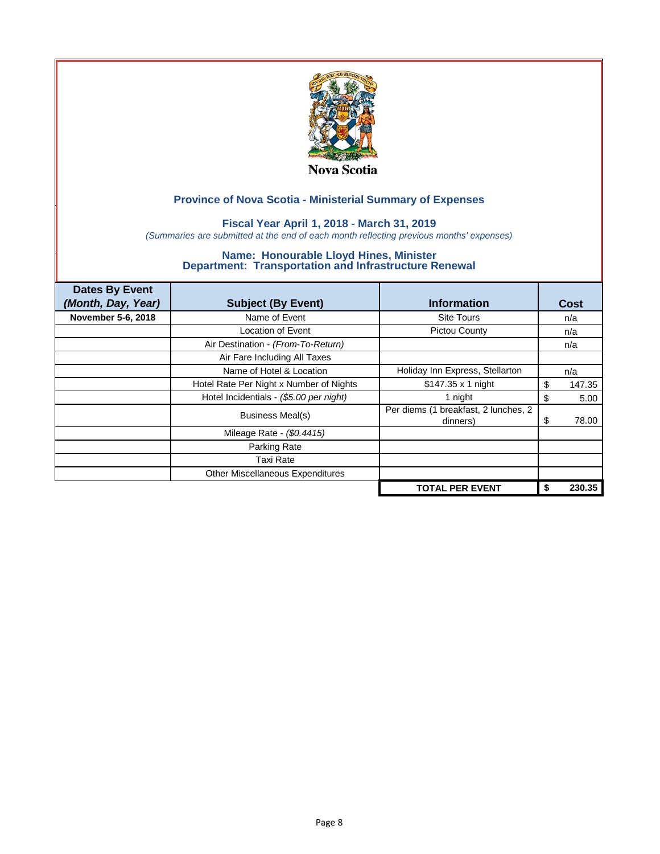

### **Fiscal Year April 1, 2018 - March 31, 2019**

*(Summaries are submitted at the end of each month reflecting previous months' expenses)*

| <b>Dates By Event</b> |                                         |                                                  |             |
|-----------------------|-----------------------------------------|--------------------------------------------------|-------------|
| (Month, Day, Year)    | <b>Subject (By Event)</b>               | <b>Information</b>                               | Cost        |
| November 5-6, 2018    | Name of Event                           | <b>Site Tours</b>                                | n/a         |
|                       | Location of Event                       | <b>Pictou County</b>                             | n/a         |
|                       | Air Destination - (From-To-Return)      |                                                  | n/a         |
|                       | Air Fare Including All Taxes            |                                                  |             |
|                       | Name of Hotel & Location                | Holiday Inn Express, Stellarton                  | n/a         |
|                       | Hotel Rate Per Night x Number of Nights | \$147.35 x 1 night                               | S<br>147.35 |
|                       | Hotel Incidentials - (\$5.00 per night) | 1 night                                          | \$<br>5.00  |
|                       | Business Meal(s)                        | Per diems (1 breakfast, 2 lunches, 2<br>dinners) | 78.00<br>\$ |
|                       | Mileage Rate - (\$0.4415)               |                                                  |             |
|                       | Parking Rate                            |                                                  |             |
|                       | Taxi Rate                               |                                                  |             |
|                       | Other Miscellaneous Expenditures        |                                                  |             |
|                       |                                         | <b>TOTAL PER EVENT</b>                           | 230.35      |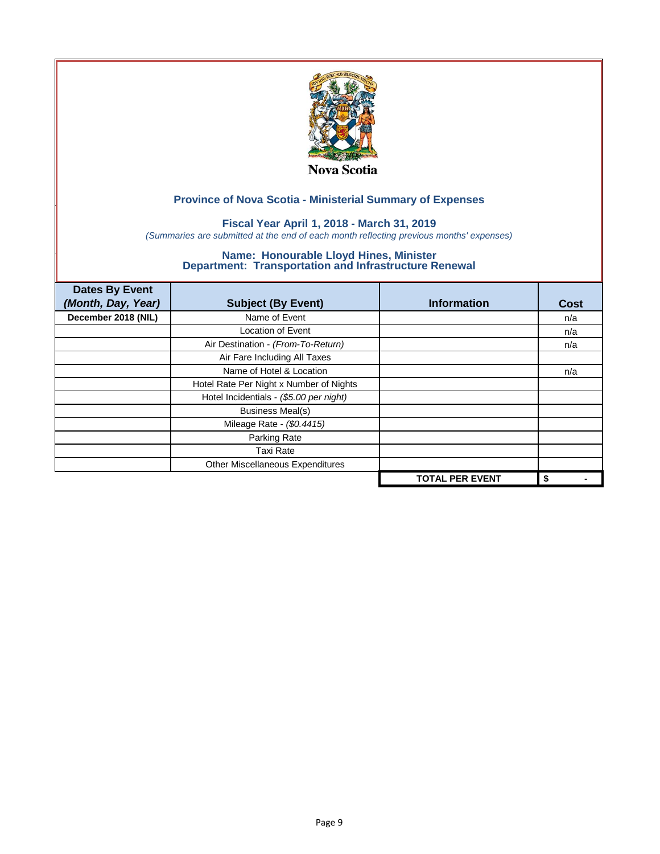

## **Fiscal Year April 1, 2018 - March 31, 2019**

*(Summaries are submitted at the end of each month reflecting previous months' expenses)*

| <b>Dates By Event</b><br>(Month, Day, Year) | <b>Subject (By Event)</b>               | <b>Information</b>     | Cost |
|---------------------------------------------|-----------------------------------------|------------------------|------|
| December 2018 (NIL)                         | Name of Event                           |                        | n/a  |
|                                             | <b>Location of Event</b>                |                        | n/a  |
|                                             | Air Destination - (From-To-Return)      |                        | n/a  |
|                                             | Air Fare Including All Taxes            |                        |      |
|                                             | Name of Hotel & Location                |                        | n/a  |
|                                             | Hotel Rate Per Night x Number of Nights |                        |      |
|                                             | Hotel Incidentials - (\$5.00 per night) |                        |      |
|                                             | <b>Business Meal(s)</b>                 |                        |      |
|                                             | Mileage Rate - (\$0.4415)               |                        |      |
|                                             | Parking Rate                            |                        |      |
|                                             | <b>Taxi Rate</b>                        |                        |      |
|                                             | Other Miscellaneous Expenditures        |                        |      |
|                                             |                                         | <b>TOTAL PER EVENT</b> | \$   |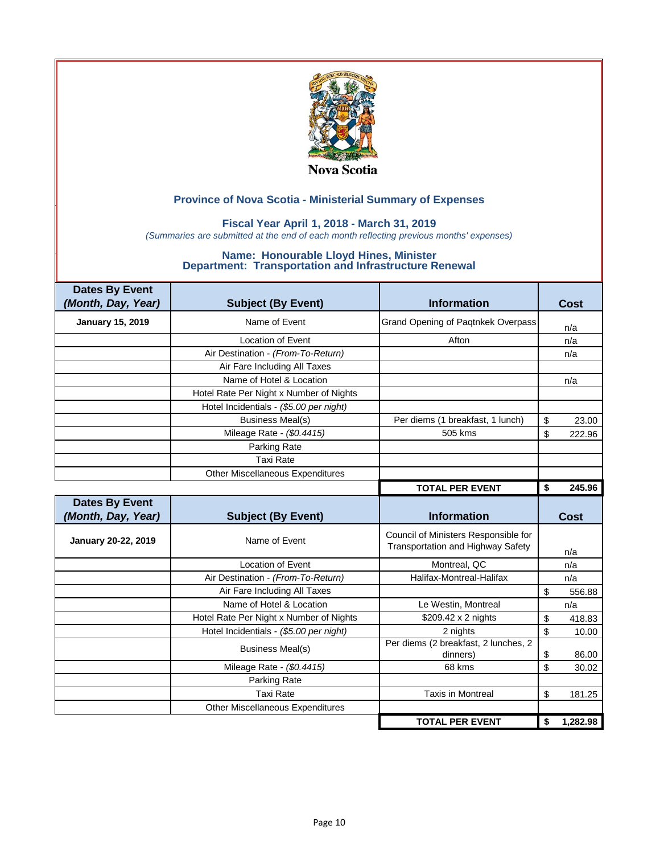

### **Fiscal Year April 1, 2018 - March 31, 2019**

*(Summaries are submitted at the end of each month reflecting previous months' expenses)*

| <b>Dates By Event</b><br>(Month, Day, Year) | <b>Subject (By Event)</b>               | <b>Information</b>                                                        | <b>Cost</b>  |
|---------------------------------------------|-----------------------------------------|---------------------------------------------------------------------------|--------------|
| <b>January 15, 2019</b>                     | Name of Event                           | <b>Grand Opening of Paqtnkek Overpass</b>                                 | n/a          |
|                                             | <b>Location of Event</b>                | Afton                                                                     | n/a          |
|                                             | Air Destination - (From-To-Return)      |                                                                           | n/a          |
|                                             | Air Fare Including All Taxes            |                                                                           |              |
|                                             | Name of Hotel & Location                |                                                                           | n/a          |
|                                             | Hotel Rate Per Night x Number of Nights |                                                                           |              |
|                                             | Hotel Incidentials - (\$5.00 per night) |                                                                           |              |
|                                             | <b>Business Meal(s)</b>                 | Per diems (1 breakfast, 1 lunch)                                          | \$<br>23.00  |
|                                             | Mileage Rate - (\$0.4415)               | 505 kms                                                                   | \$<br>222.96 |
|                                             | Parking Rate                            |                                                                           |              |
|                                             | <b>Taxi Rate</b>                        |                                                                           |              |
|                                             | <b>Other Miscellaneous Expenditures</b> |                                                                           |              |
|                                             |                                         | <b>TOTAL PER EVENT</b>                                                    | 245.96<br>\$ |
| <b>Dates By Event</b>                       |                                         |                                                                           |              |
|                                             |                                         |                                                                           |              |
| (Month, Day, Year)                          | <b>Subject (By Event)</b>               | <b>Information</b>                                                        | <b>Cost</b>  |
| January 20-22, 2019                         | Name of Event                           | Council of Ministers Responsible for<br>Transportation and Highway Safety | n/a          |
|                                             | <b>Location of Event</b>                | Montreal, QC                                                              | n/a          |
|                                             | Air Destination - (From-To-Return)      | Halifax-Montreal-Halifax                                                  | n/a          |
|                                             | Air Fare Including All Taxes            |                                                                           | \$<br>556.88 |
|                                             | Name of Hotel & Location                | Le Westin, Montreal                                                       | n/a          |
|                                             | Hotel Rate Per Night x Number of Nights | \$209.42 x 2 nights                                                       | \$<br>418.83 |
|                                             | Hotel Incidentials - (\$5.00 per night) | 2 nights                                                                  | \$<br>10.00  |
|                                             | <b>Business Meal(s)</b>                 | Per diems (2 breakfast, 2 lunches, 2<br>dinners)                          | \$<br>86.00  |
|                                             | Mileage Rate - (\$0.4415)               | 68 kms                                                                    | \$<br>30.02  |
|                                             | Parking Rate                            |                                                                           |              |
|                                             | <b>Taxi Rate</b>                        | <b>Taxis in Montreal</b>                                                  | \$<br>181.25 |
|                                             | <b>Other Miscellaneous Expenditures</b> |                                                                           |              |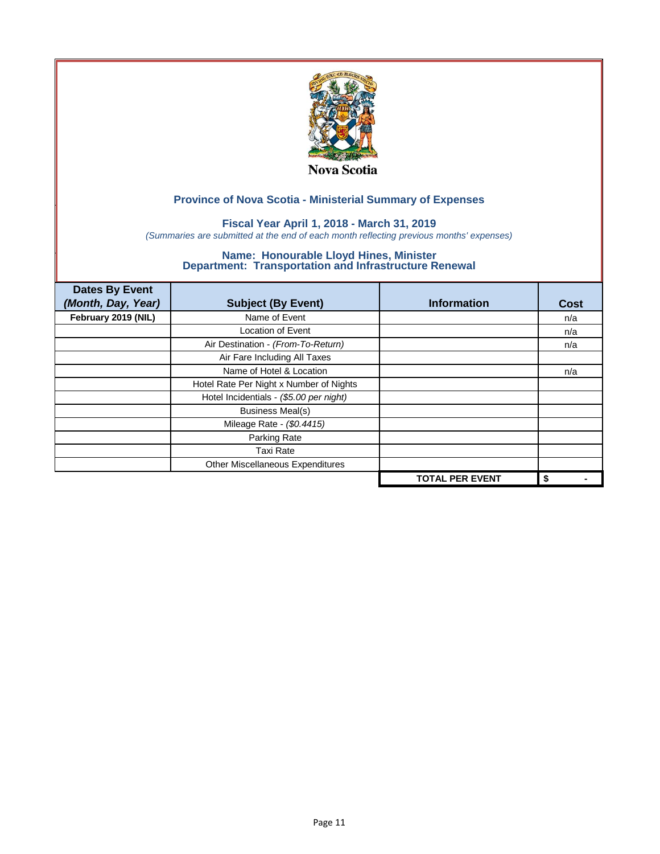

## **Fiscal Year April 1, 2018 - March 31, 2019**

*(Summaries are submitted at the end of each month reflecting previous months' expenses)*

| <b>Dates By Event</b><br>(Month, Day, Year) | <b>Subject (By Event)</b>               | <b>Information</b>     | Cost |
|---------------------------------------------|-----------------------------------------|------------------------|------|
| February 2019 (NIL)                         | Name of Event                           |                        | n/a  |
|                                             | <b>Location of Event</b>                |                        | n/a  |
|                                             | Air Destination - (From-To-Return)      |                        | n/a  |
|                                             | Air Fare Including All Taxes            |                        |      |
|                                             | Name of Hotel & Location                |                        | n/a  |
|                                             | Hotel Rate Per Night x Number of Nights |                        |      |
|                                             | Hotel Incidentials - (\$5.00 per night) |                        |      |
|                                             | <b>Business Meal(s)</b>                 |                        |      |
|                                             | Mileage Rate - (\$0.4415)               |                        |      |
|                                             | Parking Rate                            |                        |      |
|                                             | <b>Taxi Rate</b>                        |                        |      |
|                                             | Other Miscellaneous Expenditures        |                        |      |
|                                             |                                         | <b>TOTAL PER EVENT</b> | \$   |